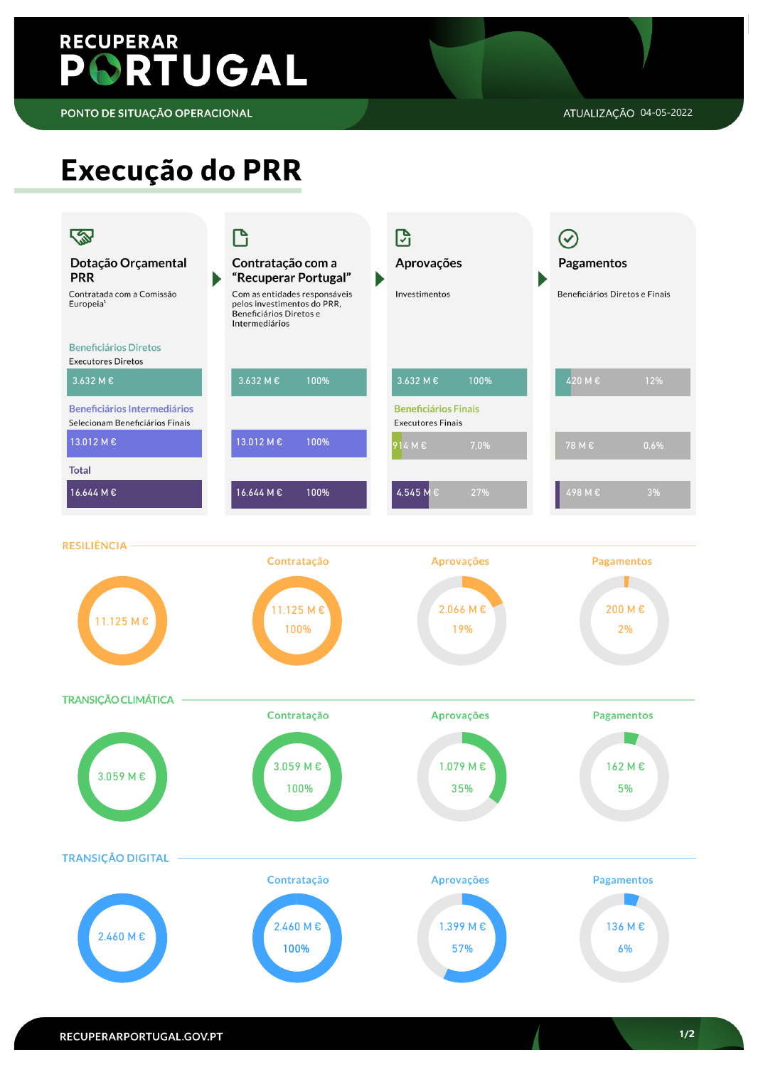# **RECUPERAR** PORTUGAL

PONTO DE SITUAÇÃO OPERACIONAL

## Execução do PRR



**TRANSIÇÃO CLIMÁTICA** 



### RECUPERARPORTUGAL.GOV.PT